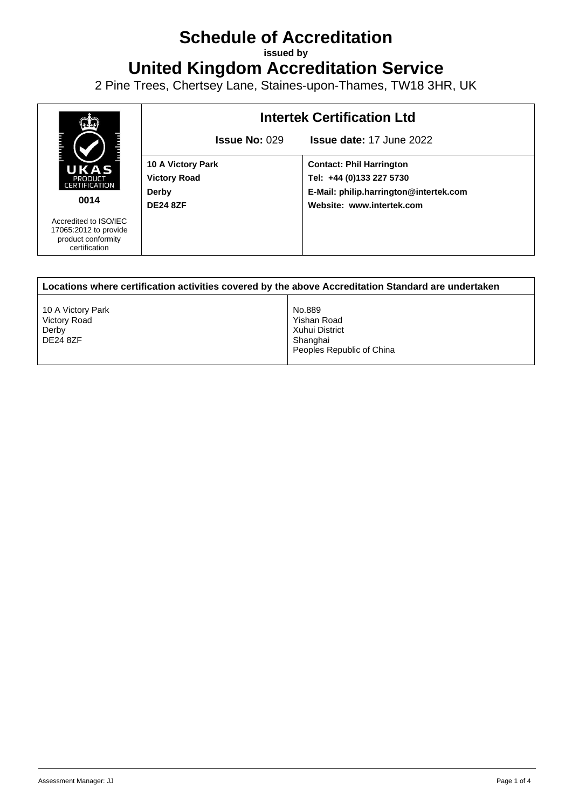## **Schedule of Accreditation**

**issued by**

**United Kingdom Accreditation Service**

2 Pine Trees, Chertsey Lane, Staines-upon-Thames, TW18 3HR, UK



| Locations where certification activities covered by the above Accreditation Standard are undertaken |                                                                                  |  |
|-----------------------------------------------------------------------------------------------------|----------------------------------------------------------------------------------|--|
| 10 A Victory Park<br>Victory Road<br>Derby<br><b>DE24 8ZF</b>                                       | No.889<br>Yishan Road<br>Xuhui District<br>Shanghai<br>Peoples Republic of China |  |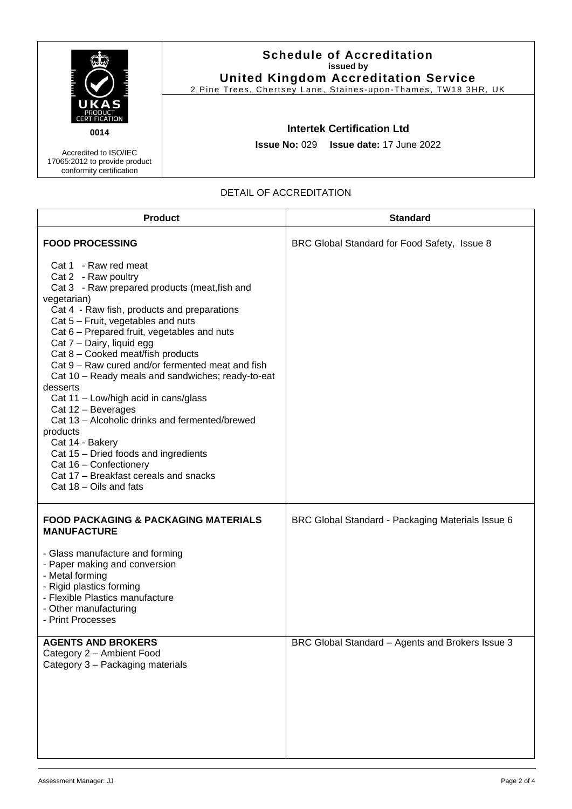|                                                                                    | <b>Schedule of Accreditation</b><br>issued by<br><b>United Kingdom Accreditation Service</b><br>2 Pine Trees, Chertsey Lane, Staines-upon-Thames, TW18 3HR, UK |  |
|------------------------------------------------------------------------------------|----------------------------------------------------------------------------------------------------------------------------------------------------------------|--|
| S<br>PRODUCT<br><b>CERTIFICATION</b>                                               |                                                                                                                                                                |  |
| 0014                                                                               | <b>Intertek Certification Ltd</b>                                                                                                                              |  |
| Accredited to ISO/IEC<br>17065:2012 to provide product<br>conformity certification | <b>Issue No: 029 Issue date: 17 June 2022</b>                                                                                                                  |  |

## DETAIL OF ACCREDITATION

| <b>Product</b>                                                                                                                                                                                                                                                                                                                                                                                                                                                                                                                                                                                                                                                                                                             | <b>Standard</b>                                   |
|----------------------------------------------------------------------------------------------------------------------------------------------------------------------------------------------------------------------------------------------------------------------------------------------------------------------------------------------------------------------------------------------------------------------------------------------------------------------------------------------------------------------------------------------------------------------------------------------------------------------------------------------------------------------------------------------------------------------------|---------------------------------------------------|
| <b>FOOD PROCESSING</b>                                                                                                                                                                                                                                                                                                                                                                                                                                                                                                                                                                                                                                                                                                     | BRC Global Standard for Food Safety, Issue 8      |
| Cat 1 - Raw red meat<br>Cat 2 - Raw poultry<br>Cat 3 - Raw prepared products (meat, fish and<br>vegetarian)<br>Cat 4 - Raw fish, products and preparations<br>Cat 5 - Fruit, vegetables and nuts<br>Cat 6 - Prepared fruit, vegetables and nuts<br>Cat 7 - Dairy, liquid egg<br>Cat 8 - Cooked meat/fish products<br>Cat 9 – Raw cured and/or fermented meat and fish<br>Cat 10 - Ready meals and sandwiches; ready-to-eat<br>desserts<br>Cat 11 - Low/high acid in cans/glass<br>Cat 12 - Beverages<br>Cat 13 - Alcoholic drinks and fermented/brewed<br>products<br>Cat 14 - Bakery<br>Cat 15 - Dried foods and ingredients<br>Cat 16 - Confectionery<br>Cat 17 - Breakfast cereals and snacks<br>Cat 18 - Oils and fats |                                                   |
| <b>FOOD PACKAGING &amp; PACKAGING MATERIALS</b><br><b>MANUFACTURE</b>                                                                                                                                                                                                                                                                                                                                                                                                                                                                                                                                                                                                                                                      | BRC Global Standard - Packaging Materials Issue 6 |
| - Glass manufacture and forming<br>- Paper making and conversion<br>- Metal forming<br>- Rigid plastics forming<br>- Flexible Plastics manufacture<br>- Other manufacturing<br>- Print Processes                                                                                                                                                                                                                                                                                                                                                                                                                                                                                                                           |                                                   |
| <b>AGENTS AND BROKERS</b><br>Category 2 - Ambient Food<br>Category 3 - Packaging materials                                                                                                                                                                                                                                                                                                                                                                                                                                                                                                                                                                                                                                 | BRC Global Standard – Agents and Brokers Issue 3  |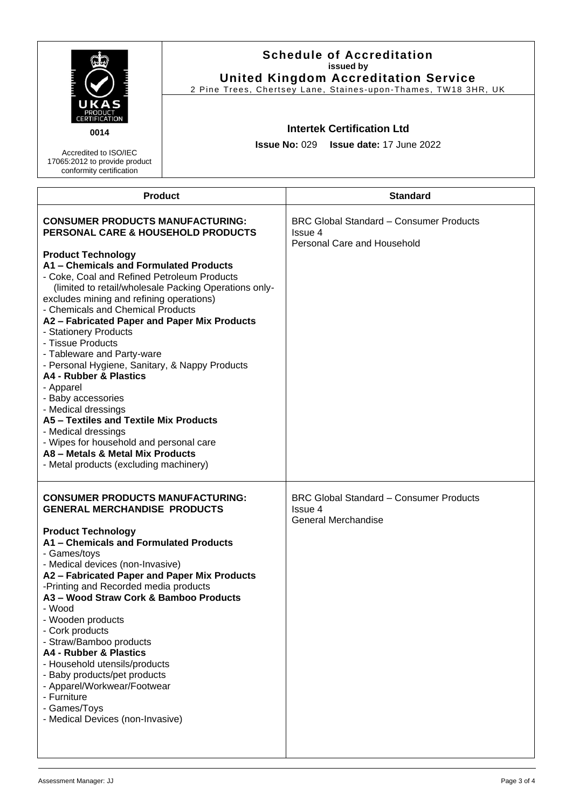|                                                                                                                                                                                                                                                                                                                                                                                                                                                                                                                                                                                                                                                                                                                                                                                                           | <b>Schedule of Accreditation</b><br>issued by<br><b>United Kingdom Accreditation Service</b><br>2 Pine Trees, Chertsey Lane, Staines-upon-Thames, TW18 3HR, UK |                                                                                          |
|-----------------------------------------------------------------------------------------------------------------------------------------------------------------------------------------------------------------------------------------------------------------------------------------------------------------------------------------------------------------------------------------------------------------------------------------------------------------------------------------------------------------------------------------------------------------------------------------------------------------------------------------------------------------------------------------------------------------------------------------------------------------------------------------------------------|----------------------------------------------------------------------------------------------------------------------------------------------------------------|------------------------------------------------------------------------------------------|
| 0014<br>Accredited to ISO/IEC<br>17065:2012 to provide product<br>conformity certification                                                                                                                                                                                                                                                                                                                                                                                                                                                                                                                                                                                                                                                                                                                | <b>Intertek Certification Ltd</b><br><b>Issue No: 029</b><br><b>Issue date: 17 June 2022</b>                                                                   |                                                                                          |
| <b>Product</b>                                                                                                                                                                                                                                                                                                                                                                                                                                                                                                                                                                                                                                                                                                                                                                                            |                                                                                                                                                                | <b>Standard</b>                                                                          |
| <b>CONSUMER PRODUCTS MANUFACTURING:</b><br>PERSONAL CARE & HOUSEHOLD PRODUCTS<br><b>Product Technology</b><br>A1 - Chemicals and Formulated Products<br>- Coke, Coal and Refined Petroleum Products<br>(limited to retail/wholesale Packing Operations only-<br>excludes mining and refining operations)<br>- Chemicals and Chemical Products<br>A2 - Fabricated Paper and Paper Mix Products<br>- Stationery Products<br>- Tissue Products<br>- Tableware and Party-ware<br>- Personal Hygiene, Sanitary, & Nappy Products<br>A4 - Rubber & Plastics<br>- Apparel<br>- Baby accessories<br>- Medical dressings<br>A5 - Textiles and Textile Mix Products<br>- Medical dressings<br>- Wipes for household and personal care<br>A8 - Metals & Metal Mix Products<br>- Metal products (excluding machinery) |                                                                                                                                                                | <b>BRC Global Standard - Consumer Products</b><br>Issue 4<br>Personal Care and Household |
| <b>CONSUMER PRODUCTS MANUFACTURING:</b><br><b>GENERAL MERCHANDISE PRODUCTS</b><br><b>Product Technology</b><br>A1 - Chemicals and Formulated Products<br>- Games/toys<br>- Medical devices (non-Invasive)<br>A2 - Fabricated Paper and Paper Mix Products<br>-Printing and Recorded media products<br>A3 - Wood Straw Cork & Bamboo Products<br>- Wood<br>- Wooden products<br>- Cork products<br>- Straw/Bamboo products<br>A4 - Rubber & Plastics<br>- Household utensils/products<br>- Baby products/pet products<br>- Apparel/Workwear/Footwear<br>- Furniture<br>- Games/Toys<br>- Medical Devices (non-Invasive)                                                                                                                                                                                    |                                                                                                                                                                | <b>BRC Global Standard - Consumer Products</b><br>Issue 4<br><b>General Merchandise</b>  |